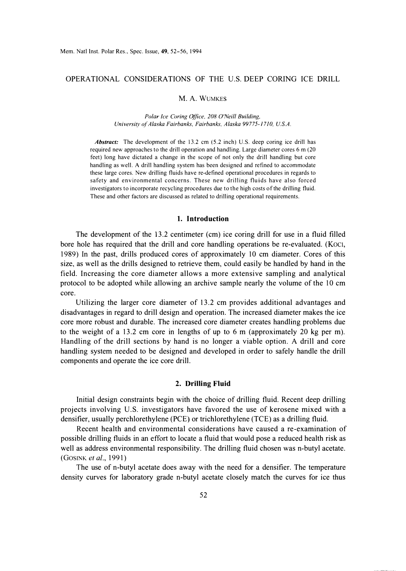# OPERATIONAL CONSIDERATIONS OF THE U.S. DEEP CORING ICE DRILL

#### M.A. WUMKES

*Polar Ice Coring Office, 208 O'Neill Building, University of Alaska Fairbanks, Fairbanks, Alaska 99775-17 JO, U.S.A.* 

*Abstract:* The development of the 13.2 cm (5.2 inch) U.S. deep coring ice drill has required new approaches to the drill operation and handling. Large diameter cores 6 m (20 feet) long have dictated a change in the scope of not only the drill handling but core handling as well. A drill handling system has been designed and refined to accommodate these large cores. New drilling fluids have re-defined operational procedures in regards to safety and environmental concerns. These new drilling fluids have also forced investigators to incorporate recycling procedures due to the high costs of the drilling fluid. These and other factors are discussed as related to drilling operational requirements.

## **1. Introduction**

The development of the 13.2 centimeter (cm) ice coring drill for use in a fluid filled bore hole has required that the drill and core handling operations be re-evaluated. (Koci, 1989) In the past, drills produced cores of approximately 10 cm diameter. Cores of this size, as well as the drills designed to retrieve them, could easily be handled by hand in the field. Increasing the core diameter allows a more extensive sampling and analytical protocol to be adopted while allowing an archive sample nearly the volume of the 10 cm core.

Utilizing the larger core diameter of 13.2 cm provides additional advantages and disadvantages in regard to drill design and operation. The increased diameter makes the ice core more robust and durable. The increased core diameter creates handling problems due to the weight of a 13.2 cm core in lengths of up to 6 m (approximately 20 kg per m). Handling of the drill sections by hand is no longer a viable option. A drill and core handling system needed to be designed and developed in order to safely handle the drill components and operate the ice core drill.

#### **2. Drilling Fluid**

Initial design constraints begin with the choice of drilling fluid. Recent deep drilling projects involving U.S. investigators have favored the use of kerosene mixed with a densifier, usually perchlorethylene (PCE) or trichlorethylene (TCE) as a drilling fluid.

Recent health and environmental considerations have caused a re-examination of possible drilling fluids in an effort to locate a fluid that would pose a reduced health risk as well as address environmental responsibility. The drilling fluid chosen was n-butyl acetate. (GOSINK *et al.,* 1991)

The use of n-butyl acetate does away with the need for a densifier. The temperature density curves for laboratory grade n-butyl acetate closely match the curves for ice thus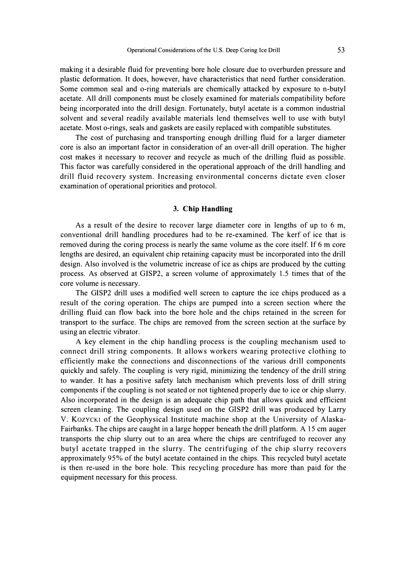making it a desirable fluid for preventing bore hole closure due to overburden pressure and plastic deformation. It does, however, have characteristics that need further consideration. Some common seal and o-ring materials are chemically attacked by exposure to n-butyl acetate. All drill components must be closely examined for materials compatibility before being incorporated into the drill design. Fortunately, butyl acetate is a common industrial solvent and several readily available materials lend themselves well to use with butyl acetate. Most o-rings, seals and gaskets are easily replaced with compatible substitutes.

The cost of purchasing and transporting enough drilling fluid for a larger diameter core is also an important factor in consideration of an over-all drill operation. The higher cost makes it necessary to recover and recycle as much of the drilling fluid as possible. This factor was carefully considered in the operational approach of the drill handling and drill fluid recovery system. Increasing environmental concerns dictate even closer examination of operational priorities and protocol.

#### **3. Chip Handling**

As a result of the desire to recover large diameter core in lengths of up to 6 m, conventional drill handling procedures had to be re-examined. The kerf of ice that is removed during the coring process is nearly the same volume as the core itself. If 6 m core lengths are desired, an equivalent chip retaining capacity must be incorporated into the drill design. Also involved is the volumetric increase of ice as chips are produced by the cutting process. As observed at G1SP2, a screen volume of approximately 1.5 times that of the core volume is necessary.

The G1SP2 drill uses a modified well screen to capture the ice chips produced as a result of the coring operation. The chips are pumped into a screen section where the drilling fluid can flow back into the bore hole and the chips retained in the screen for transport to the surface. The chips are removed from the screen section at the surface by using an electric vibrator.

A key element in the chip handling process is the coupling mechanism used to connect drill string components. It allows workers wearing protective clothing to efficiently make the connections and disconnections of the various drill components quickly and safely. The coupling is very rigid, minimizing the tendency of the drill string to wander. It has a positive safety latch mechanism which prevents loss of drill string components if the coupling is not seated or not tightened properly due to ice or chip slurry. Also incorporated in the design is an adequate chip path that allows quick and efficient screen cleaning. The coupling design used on the G1SP2 drill was produced by Larry V. KozYCKI of the Geophysical Institute machine shop at the University of Alaska-Fairbanks. The chips are caught in a large hopper beneath the drill platform. A 15 cm auger transports the chip slurry out to an area where the chips are centrifuged to recover any butyl acetate trapped in the slurry. The centrifuging of the chip slurry recovers approximately 95% of the butyl acetate contained in the chips. This recycled butyl acetate is then re-used in the bore hole. This recycling procedure has more than paid for the equipment necessary for this process.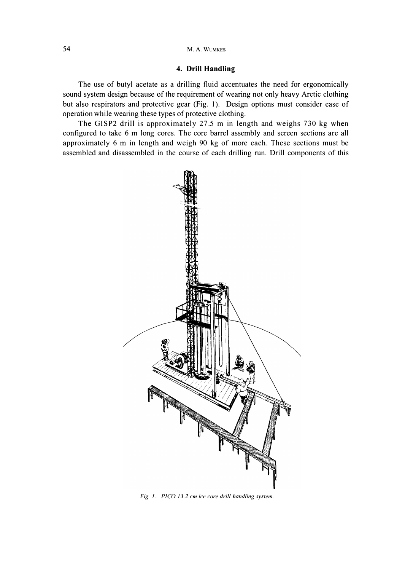# **4. Drill Handling**

The use of butyl acetate as a drilling fluid accentuates the need for ergonomically sound system design because of the requirement of wearing not only heavy Arctic clothing but also respirators and protective gear (Fig. 1). Design options must consider ease of operation while wearing these types of protective clothing.

The GISP2 drill is approximately 27 .5 m in length and weighs 730 kg when configured to take 6 m long cores. The core barrel assembly and screen sections are all approximately 6 m in length and weigh 90 kg of more each. These sections must be assembled and disassembled in the course of each drilling run. Drill components of this



*Fig. I. PICO 13.2 cm ice core drill handling system.*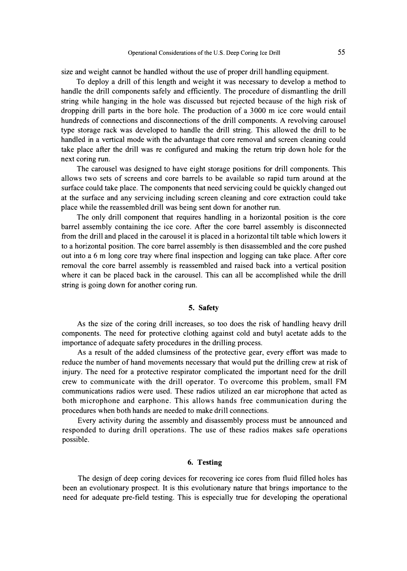size and weight cannot be handled without the use of proper drill handling equipment.

To deploy a drill of this length and weight it was necessary to develop a method to handle the drill components safely and efficiently. The procedure of dismantling the drill string while hanging in the hole was discussed but rejected because of the high risk of dropping drill parts in the bore hole. The production of a 3000 m ice core would entail hundreds of connections and disconnections of the drill components. A revolving carousel type storage rack was developed to handle the drill string. This allowed the drill to be handled in a vertical mode with the advantage that core removal and screen cleaning could take place after the drill was re configured and making the return trip down hole for the next coring run.

The carousel was designed to have eight storage positions for drill components. This allows two sets of screens and core barrels to be available so rapid tum around at the surface could take place. The components that need servicing could be quickly changed out at the surface and any servicing including screen cleaning and core extraction could take place while the reassembled drill was being sent down for another run.

The only drill component that requires handling in a horizontal position is the core barrel assembly containing the ice core. After the core barrel assembly is disconnected from the drill and placed in the carousel it is placed in a horizontal tilt table which lowers it to a horizontal position. The core barrel assembly is then disassembled and the core pushed out into a 6 m long core tray where final inspection and logging can take place. After core removal the core barrel assembly is reassembled and raised back into a vertical position where it can be placed back in the carousel. This can all be accomplished while the drill string is going down for another coring run.

## **5. Safety**

As the size of the coring drill increases, so too does the risk of handling heavy drill components. The need for protective clothing against cold and butyl acetate adds to the importance of adequate safety procedures in the drilling process.

As a result of the added clumsiness of the protective gear, every effort was made to reduce the number of hand movements necessary that would put the drilling crew at risk of injury. The need for a protective respirator complicated the important need for the drill crew to communicate with the drill operator. To overcome this problem, small FM communications radios were used. These radios utilized an ear microphone that acted as both microphone and earphone. This allows hands free communication during the procedures when both hands are needed to make drill connections.

Every activity during the assembly and disassembly process must be announced and responded to during drill operations. The use of these radios makes safe operations possible.

# **6. Testing**

The design of deep coring devices for recovering ice cores from fluid filled holes has been an evolutionary prospect. It is this evolutionary nature that brings importance to the need for adequate pre-field testing. This is especially true for developing the operational